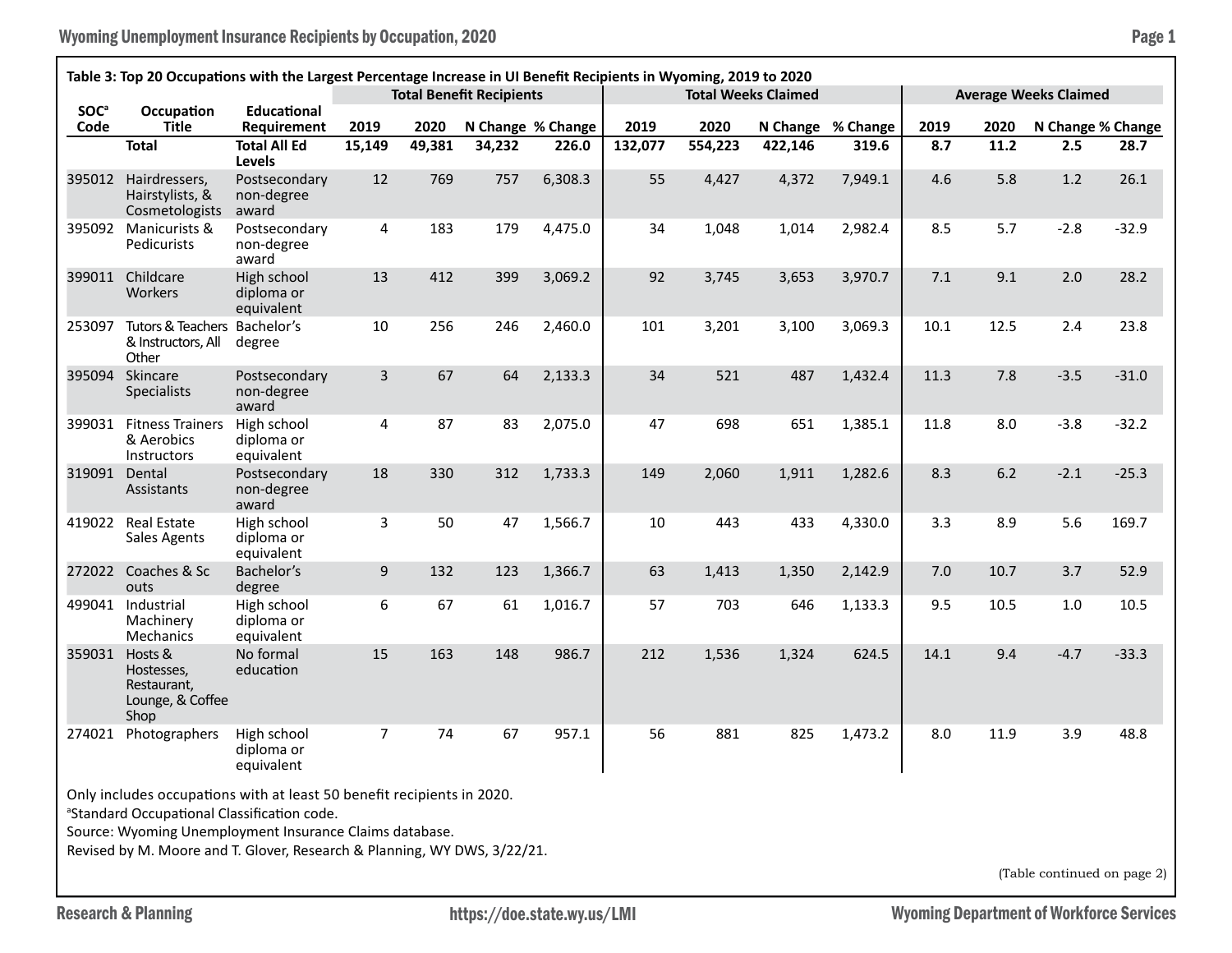Wyoming Unemployment Insurance Recipients by Occupation, 2020 **Page 1** Page 1

| Table 3: Top 20 Occupations with the Largest Percentage Increase in UI Benefit Recipients in Wyoming, 2019 to 2020                                                                                                                                                                                      |                                                                  |                                         |                |        |        |                   |                              |         |         |                   |      |      |                   |         |
|---------------------------------------------------------------------------------------------------------------------------------------------------------------------------------------------------------------------------------------------------------------------------------------------------------|------------------------------------------------------------------|-----------------------------------------|----------------|--------|--------|-------------------|------------------------------|---------|---------|-------------------|------|------|-------------------|---------|
|                                                                                                                                                                                                                                                                                                         | <b>Total Benefit Recipients</b>                                  |                                         |                |        |        |                   | <b>Average Weeks Claimed</b> |         |         |                   |      |      |                   |         |
| <b>SOC</b> <sup>a</sup><br>Code                                                                                                                                                                                                                                                                         | Occupation<br><b>Title</b>                                       | <b>Educational</b><br>Requirement       | 2019           | 2020   |        | N Change % Change | 2019                         | 2020    |         | N Change % Change | 2019 | 2020 | N Change % Change |         |
|                                                                                                                                                                                                                                                                                                         | <b>Total</b>                                                     | <b>Total All Ed</b><br>Levels           | 15,149         | 49,381 | 34,232 | 226.0             | 132,077                      | 554,223 | 422,146 | 319.6             | 8.7  | 11.2 | 2.5               | 28.7    |
| 395012                                                                                                                                                                                                                                                                                                  | Hairdressers,<br>Hairstylists, &<br>Cosmetologists               | Postsecondary<br>non-degree<br>award    | 12             | 769    | 757    | 6,308.3           | 55                           | 4,427   | 4,372   | 7,949.1           | 4.6  | 5.8  | 1.2               | 26.1    |
| 395092                                                                                                                                                                                                                                                                                                  | Manicurists &<br>Pedicurists                                     | Postsecondary<br>non-degree<br>award    | 4              | 183    | 179    | 4,475.0           | 34                           | 1,048   | 1,014   | 2,982.4           | 8.5  | 5.7  | $-2.8$            | $-32.9$ |
| 399011                                                                                                                                                                                                                                                                                                  | Childcare<br>Workers                                             | High school<br>diploma or<br>equivalent | 13             | 412    | 399    | 3,069.2           | 92                           | 3,745   | 3,653   | 3,970.7           | 7.1  | 9.1  | 2.0               | 28.2    |
| 253097                                                                                                                                                                                                                                                                                                  | Tutors & Teachers Bachelor's<br>& Instructors, All<br>Other      | degree                                  | 10             | 256    | 246    | 2,460.0           | 101                          | 3,201   | 3,100   | 3,069.3           | 10.1 | 12.5 | 2.4               | 23.8    |
| 395094                                                                                                                                                                                                                                                                                                  | Skincare<br><b>Specialists</b>                                   | Postsecondary<br>non-degree<br>award    | $\overline{3}$ | 67     | 64     | 2,133.3           | 34                           | 521     | 487     | 1,432.4           | 11.3 | 7.8  | $-3.5$            | $-31.0$ |
| 399031                                                                                                                                                                                                                                                                                                  | <b>Fitness Trainers</b><br>& Aerobics<br>Instructors             | High school<br>diploma or<br>equivalent | 4              | 87     | 83     | 2,075.0           | 47                           | 698     | 651     | 1,385.1           | 11.8 | 8.0  | $-3.8$            | $-32.2$ |
| 319091                                                                                                                                                                                                                                                                                                  | Dental<br>Assistants                                             | Postsecondary<br>non-degree<br>award    | 18             | 330    | 312    | 1,733.3           | 149                          | 2,060   | 1,911   | 1,282.6           | 8.3  | 6.2  | $-2.1$            | $-25.3$ |
| 419022                                                                                                                                                                                                                                                                                                  | <b>Real Estate</b><br>Sales Agents                               | High school<br>diploma or<br>equivalent | 3              | 50     | 47     | 1,566.7           | 10                           | 443     | 433     | 4,330.0           | 3.3  | 8.9  | 5.6               | 169.7   |
| 272022                                                                                                                                                                                                                                                                                                  | Coaches & Sc<br>outs                                             | Bachelor's<br>degree                    | 9              | 132    | 123    | 1,366.7           | 63                           | 1,413   | 1,350   | 2,142.9           | 7.0  | 10.7 | 3.7               | 52.9    |
| 499041                                                                                                                                                                                                                                                                                                  | Industrial<br>Machinery<br>Mechanics                             | High school<br>diploma or<br>equivalent | 6              | 67     | 61     | 1,016.7           | 57                           | 703     | 646     | 1,133.3           | 9.5  | 10.5 | 1.0               | 10.5    |
| 359031                                                                                                                                                                                                                                                                                                  | Hosts &<br>Hostesses,<br>Restaurant,<br>Lounge, & Coffee<br>Shop | No formal<br>education                  | 15             | 163    | 148    | 986.7             | 212                          | 1,536   | 1,324   | 624.5             | 14.1 | 9.4  | $-4.7$            | $-33.3$ |
| 274021                                                                                                                                                                                                                                                                                                  | Photographers                                                    | High school<br>diploma or<br>equivalent | $\overline{7}$ | 74     | 67     | 957.1             | 56                           | 881     | 825     | 1,473.2           | 8.0  | 11.9 | 3.9               | 48.8    |
| Only includes occupations with at least 50 benefit recipients in 2020.<br><sup>a</sup> Standard Occupational Classification code.<br>Source: Wyoming Unemployment Insurance Claims database.<br>Revised by M. Moore and T. Glover, Research & Planning, WY DWS, 3/22/21.<br>(Table continued on page 2) |                                                                  |                                         |                |        |        |                   |                              |         |         |                   |      |      |                   |         |